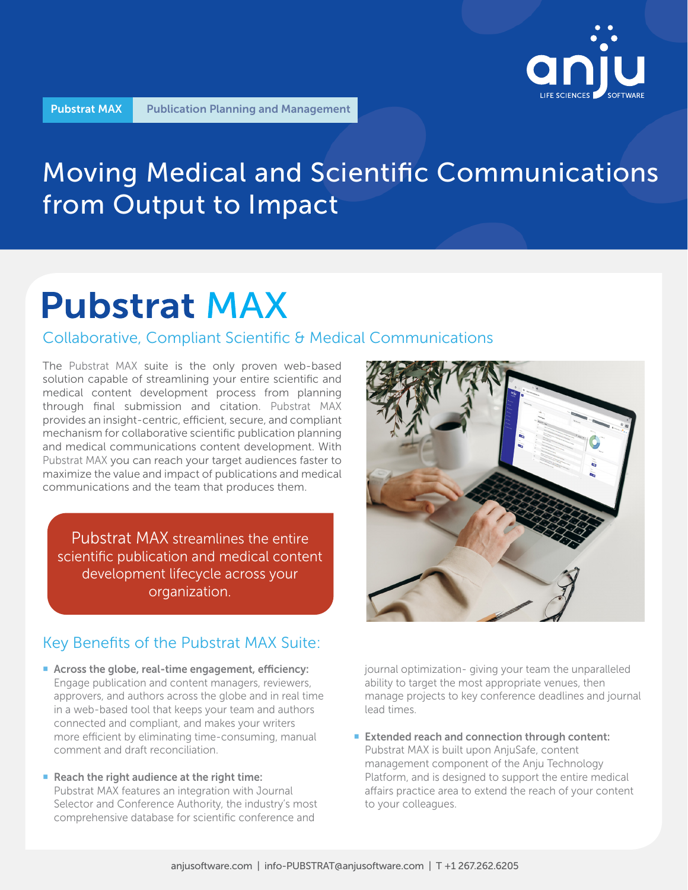

## Moving Medical and Scientific Communications from Output to Impact

# **Pubstrat MAX**

## Collaborative, Compliant Scientific & Medical Communications

The Pubstrat MAX suite is the only proven web-based solution capable of streamlining your entire scientific and medical content development process from planning through final submission and citation. Pubstrat MAX provides an insight-centric, efficient, secure, and compliant mechanism for collaborative scientific publication planning and medical communications content development. With Pubstrat MAX you can reach your target audiences faster to maximize the value and impact of publications and medical communications and the team that produces them.

Pubstrat MAX streamlines the entire scientific publication and medical content development lifecycle across your organization.

## Key Benefits of the Pubstrat MAX Suite:

- Across the globe, real-time engagement, efficiency: Engage publication and content managers, reviewers, approvers, and authors across the globe and in real time in a web-based tool that keeps your team and authors connected and compliant, and makes your writers more efficient by eliminating time-consuming, manual comment and draft reconciliation.
- Reach the right audience at the right time: Pubstrat MAX features an integration with Journal Selector and Conference Authority, the industry's most comprehensive database for scientific conference and



journal optimization- giving your team the unparalleled ability to target the most appropriate venues, then manage projects to key conference deadlines and journal lead times.

■ Extended reach and connection through content: Pubstrat MAX is built upon AnjuSafe, content management component of the Anju Technology Platform, and is designed to support the entire medical affairs practice area to extend the reach of your content to your colleagues.